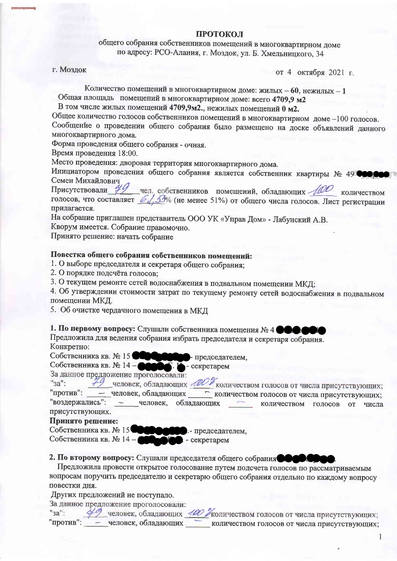## ПРОТОКОЛ

общего собрания собственников помещений в многоквартирном доме по адресу: РСО-Алания, г. Моздок, ул. Б. Хмельницкого, 34

г. Моздок

от 4 октября 2021 г.

Количество помещений в многоквартирном доме: жилых - 60, нежилых - 1 Общая площадь помещений в многоквартирном доме: всего 4709,9 м2

В том числе жилых помещений 4709,9м2., нежилых помещений 0 м2.

Общее количество голосов собственников помещений в многоквартирном доме -100 голосов. Сообщение о проведении общего собрания было размещено на доске объявлений данного многоквартирного дома.

Форма проведения общего собрания - очная.

Время проведения 18:00.

Место проведения: дворовая территория многоквартирного дома.

Инициатором проведения общего собрания является собственник квартиры № 498000 Семен Михайлович

Присутствовали 49 чел. собственников помещений, обладающих 100 количеством голосов, что составляет 61% (не менее 51%) от общего числа голосов. Лист регистрации прилагается.

На собрание приглашен представитель ООО УК «Управ Дом» - Лабунский А.В.

Кворум имеется. Собрание правомочно.

Принято решение: начать собрание

## Повестка общего собрания собственников помещений:

- 1. О выборе председателя и секретаря общего собрания:
- 2. О порядке подсчёта голосов;

3. О текущем ремонте сетей водоснабжения в подвальном помещении МКД;

4. Об утверждении стоимости затрат по текущему ремонту сетей водоснабжения в подвальном помещении МКД.

5. Об очистке чердачного помещения в МКД

1. По первому вопросу: Слушали собственника помещения № 4 ФОС

Предложила для ведения собрания избрать председателя и секретаря собрания. Конкретно:

Собственника кв. № 15 Председателем, Собственника кв. № 14-- секретарем

За данное предложение проголосовали:

деловек, обладающих МОУ количеством голосов от числа присутствующих; "<sub>3a"</sub>: - человек, обладающих количеством голосов от числа присутствующих; "против": "воздержались":  $\sim$ человек, обладающих количеством голосов от числа присутствующих.

## Принято решение:

Собственника кв. № 15 00000 . - председателем, Собственника кв. № 14-- секретарем

2. По второму вопросу: Слушали председателя общего собрания Сове

Предложила провести открытое голосование путем подсчета голосов по рассматриваемым вопросам поручить председателю и секретарю общего собрания отдельно по каждому вопросу повестки дня.

Других предложений не поступало.

За данное предложение проголосовали:

"<sub>3a"</sub>:

49 человек, обладающих 400 Уколичеством голосов от числа присутствующих; "против": - человек, обладающих количеством голосов от числа присутствующих;

 $\overline{1}$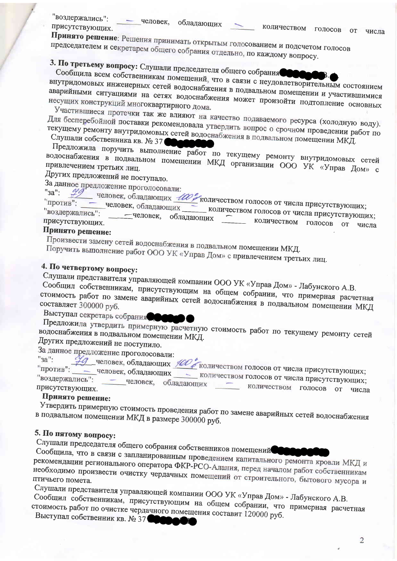"воздержались": - человек, обладающих присутствующих.

Принято решение: Решения принимать открытым голосованием и подсчетом голосов председателем и секретарем общего собрания отдельно, по каждому вопросу.

3. По третьему вопросу: Слушали председателя общего собрания

Сообщила всем собственникам помещений, что в связи с неудовлетворительным состоянием внутридомовых инженерных сетей водоснабжения в подвальном помещении и участившимися аварийными ситуациями на сетях водоснабжения может произойти подтопление основных несущих конструкций многоквартирного дома.

Участившиеся протечки так же влияют на качество подаваемого ресурса (холодную воду). Для бесперебойной поставки рекомендовала утвердить вопрос о срочном проведении работ по текущему ремонту внутридомовых сетей водоснабжения в подвальном помещении МКД.

Слушали собственника кв. № 37

Предложила поручить выполнение работ по текущему ремонту внутридомовых сетей водоснабжения в подвальном помещении МКД организации ООО УК «Управ Дом» с

Других предложений не поступало.

За данное предложение проголосовали:  $"3a"$ 

'против": -

дикиских проголожения. ИЗИ количеством голосов от числа присутствующих; человек, обладающих

количеством голосов от числа присутствующих; воздержались": -человек, обладающих количеством голосов присутствующих. от числа Принято решение:

Произвести замену сетей водоснабжения в подвальном помещении МКД.

Поручить выполнение работ ООО УК «Управ Дом» с привлечением третьих лиц.

# 4. По четвертому вопросу:

Слушали представителя управляющей компании ООО УК «Управ Дом» - Лабунского А.В.

Сообщил собственникам, присутствующим на общем собрании, что примерная расчетная стоимость работ по замене аварийных сетей водоснабжения в подвальном помещении МКД Выступал секретарь собрания

Предложила утвердить примерную расчетную стоимость работ по текущему ремонту сетей водоснабжения в подвальном помещении МКД. Других предложений не поступило.

За данное предложение проголосовали:

редложение проголосовани.<br>Не человек, обладающих НОГ количеством голосов от числа присутствующих;  $"3a"$ : - человек, обладающих - количеством голосов от числа присутствующих; "против": "воздержались": человек, обладающих количеством голосов от числа присутствующих.

# Принято решение:

Утвердить примерную стоимость проведения работ по замене аварийных сетей водоснабжения в подвальном помещении МКД в размере 300000 руб.

# 5. По пятому вопросу:

Слушали председателя общего собрания собственников помещений

Сообщила, что в связи с запланированным проведением капитального ремонта кровли МКД и рекомендации регионального оператора ФКР-РСО-Алания, перед началом работ собственникам необходимо произвести очистку чердачных помещений от строительного, бытового мусора и

Слушали представителя управляющей компании ООО УК «Управ Дом» - Лабунского А.В.

Сообщил собственникам, присутствующим на общем собрании, что примерная расчетная стоимость работ по очистке чердачного помещения составит 120000 руб. Выступал собственник кв. № 37